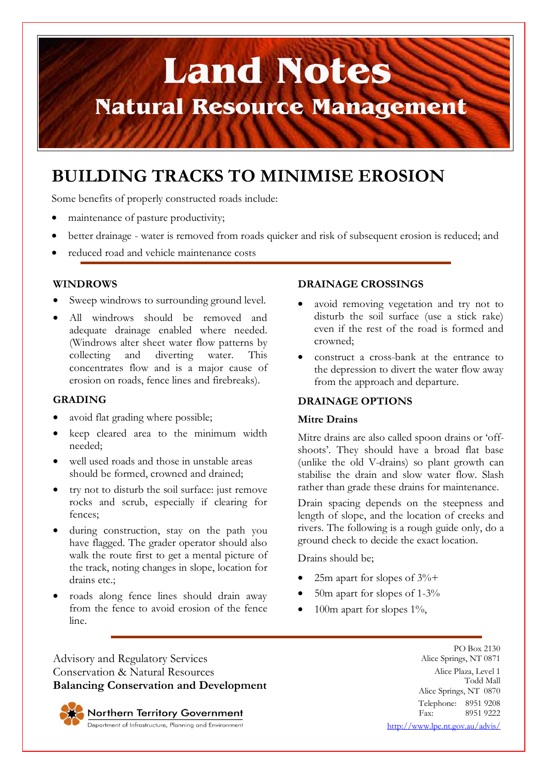# **Land Notes Natural Resource Management**

### **BUILDING TRACKS TO MINIMISE EROSION**

Some benefits of properly constructed roads include:

- maintenance of pasture productivity;
- better drainage water is removed from roads quicker and risk of subsequent erosion is reduced; and
- reduced road and vehicle maintenance costs

#### **WINDROWS**

- Sweep windrows to surrounding ground level.
- All windrows should be removed and adequate drainage enabled where needed. (Windrows alter sheet water flow patterns by collecting and diverting water. This concentrates flow and is a major cause of erosion on roads, fence lines and firebreaks).

#### **GRADING**

- avoid flat grading where possible;
- keep cleared area to the minimum width needed;
- well used roads and those in unstable areas should be formed, crowned and drained;
- try not to disturb the soil surface: just remove rocks and scrub, especially if clearing for fences;
- during construction, stay on the path you have flagged. The grader operator should also walk the route first to get a mental picture of the track, noting changes in slope, location for drains etc.;
- roads along fence lines should drain away from the fence to avoid erosion of the fence line.

#### **DRAINAGE CROSSINGS**

- avoid removing vegetation and try not to disturb the soil surface (use a stick rake) even if the rest of the road is formed and crowned;
- construct a cross-bank at the entrance to the depression to divert the water flow away from the approach and departure.

#### **DRAINAGE OPTIONS**

#### **Mitre Drains**

Mitre drains are also called spoon drains or 'offshoots'. They should have a broad flat base (unlike the old V-drains) so plant growth can stabilise the drain and slow water flow. Slash rather than grade these drains for maintenance.

Drain spacing depends on the steepness and length of slope, and the location of creeks and rivers. The following is a rough guide only, do a ground check to decide the exact location.

Drains should be;

- 25m apart for slopes of  $3\%$ +
- 50m apart for slopes of 1-3%
- 100m apart for slopes  $1\%$ ,

Advisory and Regulatory Services Conservation & Natural Resources **Balancing Conservation and Development**

Northern Territory Government

Department of Infrastructure, Planning and Environment

PO Box 2130 Alice Springs, NT 0871 Alice Plaza, Level 1 Todd Mall Alice Springs, NT 0870 Telephone: 8951 9208<br>Fax: 8951 9222 8951 9222 http://www.lpe.nt.gov.au/advis/